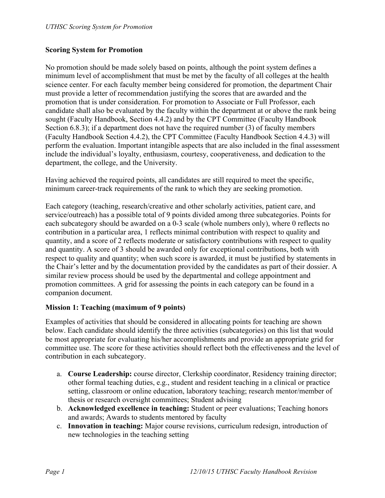#### **Scoring System for Promotion**

No promotion should be made solely based on points, although the point system defines a minimum level of accomplishment that must be met by the faculty of all colleges at the health science center. For each faculty member being considered for promotion, the department Chair must provide a letter of recommendation justifying the scores that are awarded and the promotion that is under consideration. For promotion to Associate or Full Professor, each candidate shall also be evaluated by the faculty within the department at or above the rank being sought (Faculty Handbook, Section 4.4.2) and by the CPT Committee (Faculty Handbook Section 6.8.3); if a department does not have the required number (3) of faculty members (Faculty Handbook Section 4.4.2), the CPT Committee (Faculty Handbook Section 4.4.3) will perform the evaluation. Important intangible aspects that are also included in the final assessment include the individual's loyalty, enthusiasm, courtesy, cooperativeness, and dedication to the department, the college, and the University.

Having achieved the required points, all candidates are still required to meet the specific, minimum career-track requirements of the rank to which they are seeking promotion.

Each category (teaching, research/creative and other scholarly activities, patient care, and service/outreach) has a possible total of 9 points divided among three subcategories. Points for each subcategory should be awarded on a 0-3 scale (whole numbers only), where 0 reflects no contribution in a particular area, 1 reflects minimal contribution with respect to quality and quantity, and a score of 2 reflects moderate or satisfactory contributions with respect to quality and quantity. A score of 3 should be awarded only for exceptional contributions, both with respect to quality and quantity; when such score is awarded, it must be justified by statements in the Chair's letter and by the documentation provided by the candidates as part of their dossier. A similar review process should be used by the departmental and college appointment and promotion committees. A grid for assessing the points in each category can be found in a companion document.

#### **Mission 1: Teaching (maximum of 9 points)**

Examples of activities that should be considered in allocating points for teaching are shown below. Each candidate should identify the three activities (subcategories) on this list that would be most appropriate for evaluating his/her accomplishments and provide an appropriate grid for committee use. The score for these activities should reflect both the effectiveness and the level of contribution in each subcategory.

- a. **Course Leadership:** course director, Clerkship coordinator, Residency training director; other formal teaching duties, e.g., student and resident teaching in a clinical or practice setting, classroom or online education, laboratory teaching; research mentor/member of thesis or research oversight committees; Student advising
- b. **Acknowledged excellence in teaching:** Student or peer evaluations; Teaching honors and awards; Awards to students mentored by faculty
- c. **Innovation in teaching:** Major course revisions, curriculum redesign, introduction of new technologies in the teaching setting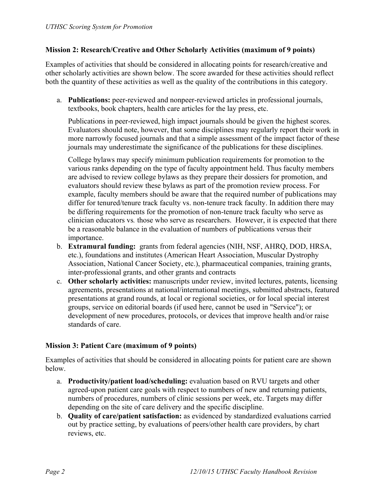#### **Mission 2: Research/Creative and Other Scholarly Activities (maximum of 9 points)**

Examples of activities that should be considered in allocating points for research/creative and other scholarly activities are shown below. The score awarded for these activities should reflect both the quantity of these activities as well as the quality of the contributions in this category.

a. **Publications:** peer-reviewed and nonpeer-reviewed articles in professional journals, textbooks, book chapters, health care articles for the lay press, etc.

Publications in peer-reviewed, high impact journals should be given the highest scores. Evaluators should note, however, that some disciplines may regularly report their work in more narrowly focused journals and that a simple assessment of the impact factor of these journals may underestimate the significance of the publications for these disciplines.

College bylaws may specify minimum publication requirements for promotion to the various ranks depending on the type of faculty appointment held. Thus faculty members are advised to review college bylaws as they prepare their dossiers for promotion, and evaluators should review these bylaws as part of the promotion review process. For example, faculty members should be aware that the required number of publications may differ for tenured/tenure track faculty vs. non-tenure track faculty. In addition there may be differing requirements for the promotion of non-tenure track faculty who serve as clinician educators vs*.* those who serve as researchers. However, it is expected that there be a reasonable balance in the evaluation of numbers of publications versus their importance.

- b. **Extramural funding:** grants from federal agencies (NIH, NSF, AHRQ, DOD, HRSA, etc.), foundations and institutes (American Heart Association, Muscular Dystrophy Association, National Cancer Society, etc.), pharmaceutical companies, training grants, inter-professional grants, and other grants and contracts
- c. **Other scholarly activities:** manuscripts under review, invited lectures, patents, licensing agreements, presentations at national/international meetings, submitted abstracts, featured presentations at grand rounds, at local or regional societies, or for local special interest groups, service on editorial boards (if used here, cannot be used in "Service"); or development of new procedures, protocols, or devices that improve health and/or raise standards of care.

#### **Mission 3: Patient Care (maximum of 9 points)**

Examples of activities that should be considered in allocating points for patient care are shown below.

- a. **Productivity/patient load/scheduling:** evaluation based on RVU targets and other agreed-upon patient care goals with respect to numbers of new and returning patients, numbers of procedures, numbers of clinic sessions per week, etc. Targets may differ depending on the site of care delivery and the specific discipline.
- b. **Quality of care/patient satisfaction:** as evidenced by standardized evaluations carried out by practice setting, by evaluations of peers/other health care providers, by chart reviews, etc.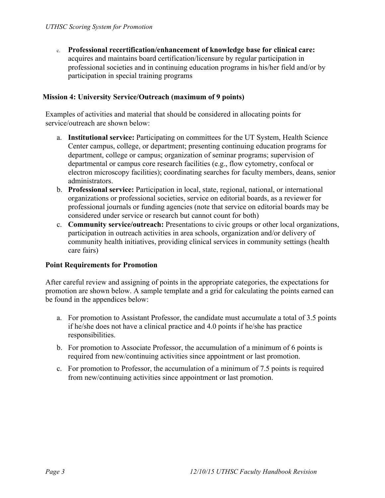c. **Professional recertification/enhancement of knowledge base for clinical care:** acquires and maintains board certification/licensure by regular participation in professional societies and in continuing education programs in his/her field and/or by participation in special training programs

#### **Mission 4: University Service/Outreach (maximum of 9 points)**

Examples of activities and material that should be considered in allocating points for service/outreach are shown below:

- a. **Institutional service:** Participating on committees for the UT System, Health Science Center campus, college, or department; presenting continuing education programs for department, college or campus; organization of seminar programs; supervision of departmental or campus core research facilities (e.g., flow cytometry, confocal or electron microscopy facilities); coordinating searches for faculty members, deans, senior administrators.
- b. **Professional service:** Participation in local, state, regional, national, or international organizations or professional societies, service on editorial boards, as a reviewer for professional journals or funding agencies (note that service on editorial boards may be considered under service or research but cannot count for both)
- c. **Community service/outreach:** Presentations to civic groups or other local organizations, participation in outreach activities in area schools, organization and/or delivery of community health initiatives, providing clinical services in community settings (health care fairs)

#### **Point Requirements for Promotion**

After careful review and assigning of points in the appropriate categories, the expectations for promotion are shown below. A sample template and a grid for calculating the points earned can be found in the appendices below:

- a. For promotion to Assistant Professor, the candidate must accumulate a total of 3.5 points if he/she does not have a clinical practice and 4.0 points if he/she has practice responsibilities.
- b. For promotion to Associate Professor, the accumulation of a minimum of 6 points is required from new/continuing activities since appointment or last promotion.
- c. For promotion to Professor, the accumulation of a minimum of 7.5 points is required from new/continuing activities since appointment or last promotion.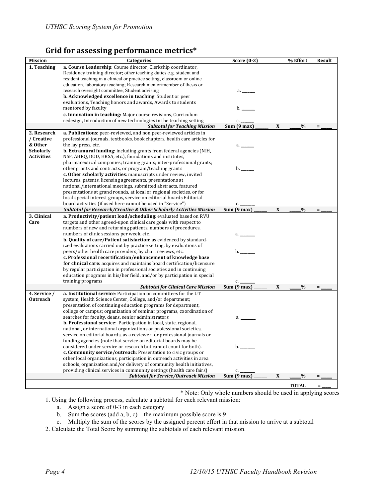### Grid for assessing performance metrics\*

| <b>Mission</b>                        | Categories                                                                                                                 | Score $(0-3)$         |   | % Effort      | Result   |
|---------------------------------------|----------------------------------------------------------------------------------------------------------------------------|-----------------------|---|---------------|----------|
| 1. Teaching                           | a. Course Leadership: Course director, Clerkship coordinator,                                                              |                       |   |               |          |
|                                       | Residency training director; other teaching duties e.g. student and                                                        |                       |   |               |          |
|                                       | resident teaching in a clinical or practice setting, classroom or online                                                   |                       |   |               |          |
|                                       | education, laboratory teaching; Research mentor/member of thesis or                                                        |                       |   |               |          |
|                                       | research oversight committee; Student advising                                                                             | a. _                  |   |               |          |
|                                       | b. Acknowledged excellence in teaching: Student or peer                                                                    |                       |   |               |          |
|                                       | evaluations, Teaching honors and awards, Awards to students                                                                |                       |   |               |          |
|                                       | mentored by faculty                                                                                                        | b.                    |   |               |          |
|                                       | c. Innovation in teaching: Major course revisions, Curriculum                                                              |                       |   |               |          |
|                                       | redesign, Introduction of new technologies in the teaching setting                                                         | c.                    |   |               |          |
|                                       | <b>Subtotal for Teaching Mission</b>                                                                                       | Sum(9 max)            | X | %             |          |
| 2. Research                           | a. Publications: peer-reviewed, and non peer-reviewed articles in                                                          |                       |   |               |          |
| / Creative                            | professional journals, textbooks, book chapters, health care articles for                                                  |                       |   |               |          |
| & Other                               | the lay press, etc.                                                                                                        | a. _                  |   |               |          |
| <b>Scholarly</b><br><b>Activities</b> | <b>b. Extramural funding:</b> including grants from federal agencies (NIH,                                                 |                       |   |               |          |
|                                       | NSF, AHRQ, DOD, HRSA, etc.), foundations and institutes,                                                                   |                       |   |               |          |
|                                       | pharmaceutical companies; training grants; inter-professional grants;                                                      |                       |   |               |          |
|                                       | other grants and contracts, or program/teaching grants<br>c. Other scholarly activities: manuscripts under review, invited | b.                    |   |               |          |
|                                       | lectures, patents, licensing agreements, presentations at                                                                  |                       |   |               |          |
|                                       | national/international meetings, submitted abstracts, featured                                                             |                       |   |               |          |
|                                       | presentations at grand rounds, at local or regional societies, or for                                                      |                       |   |               |          |
|                                       | local special interest groups, service on editorial boards Editorial                                                       |                       |   |               |          |
|                                       | board activities (if used here cannot be used in "Service")                                                                |                       |   |               |          |
|                                       | <b>Subtotal for Research/Creative &amp; Other Scholarly Activities Mission</b>                                             | c.<br>Sum (9 max)     | X | $\frac{0}{0}$ | $\equiv$ |
| 3. Clinical                           | a. Productivity/patient load/scheduling: evaluated based on RVU                                                            |                       |   |               |          |
| Care                                  | targets and other agreed-upon clinical care goals with respect to                                                          |                       |   |               |          |
|                                       | numbers of new and returning patients, numbers of procedures,                                                              |                       |   |               |          |
|                                       | numbers of clinic sessions per week, etc.                                                                                  | a. _                  |   |               |          |
|                                       | b. Quality of care/Patient satisfaction: as evidenced by standard-                                                         |                       |   |               |          |
|                                       | ized evaluations carried out by practice setting, by evaluations of                                                        |                       |   |               |          |
|                                       | peers/other health care providers, by chart reviews, etc.                                                                  | b.                    |   |               |          |
|                                       | c. Professional recertification/enhancement of knowledge base                                                              |                       |   |               |          |
|                                       | for clinical care: acquires and maintains board certification/licensure                                                    |                       |   |               |          |
|                                       | by regular participation in professional societies and in continuing                                                       |                       |   |               |          |
|                                       | education programs in his/her field, and/or by participation in special                                                    |                       |   |               |          |
|                                       | training programs                                                                                                          | c.                    |   |               |          |
|                                       | <b>Subtotal for Clinical Care Mission</b>                                                                                  | Sum (9 max)           | X | $\frac{0}{0}$ | Ξ        |
| 4. Service /                          | a. Institutional service: Participation on committees for the UT                                                           |                       |   |               |          |
| Outreach                              | system, Health Science Center, College, and/or department;                                                                 |                       |   |               |          |
|                                       | presentation of continuing education programs for department,                                                              |                       |   |               |          |
|                                       | college or campus; organization of seminar programs, coordination of                                                       |                       |   |               |          |
|                                       | searches for faculty, deans, senior administrators                                                                         | a.                    |   |               |          |
|                                       | b. Professional service: Participation in local, state, regional,                                                          |                       |   |               |          |
|                                       | national, or international organizations or professional societies,                                                        |                       |   |               |          |
|                                       | service on editorial boards, as a reviewer for professional journals or                                                    |                       |   |               |          |
|                                       | funding agencies (note that service on editorial boards may be                                                             |                       |   |               |          |
|                                       | considered under service or research but cannot count for both).                                                           | $b_{\cdot}$           |   |               |          |
|                                       | c. Community service/outreach: Presentation to civic groups or                                                             |                       |   |               |          |
|                                       | other local organizations, participation in outreach activities in area                                                    |                       |   |               |          |
|                                       | schools, organization and/or delivery of community health initiatives,                                                     |                       |   |               |          |
|                                       | providing clinical services in community settings (health care fairs)                                                      | c.                    |   |               |          |
|                                       | <b>Subtotal for Service/Outreach Mission</b>                                                                               | Sum $(9 \text{ max})$ | X | $\frac{0}{0}$ |          |
|                                       |                                                                                                                            |                       |   | <b>TOTAL</b>  | $\equiv$ |

\* Note: Only whole numbers should be used in applying scores

- 1. Using the following process, calculate a subtotal for each relevant mission:
	- a. Assign a score of 0-3 in each category
	- b. Sum the scores (add a, b, c) the maximum possible score is 9
	- c. Multiply the sum of the scores by the assigned percent effort in that mission to arrive at a subtotal
- 2. Calculate the Total Score by summing the subtotals of each relevant mission.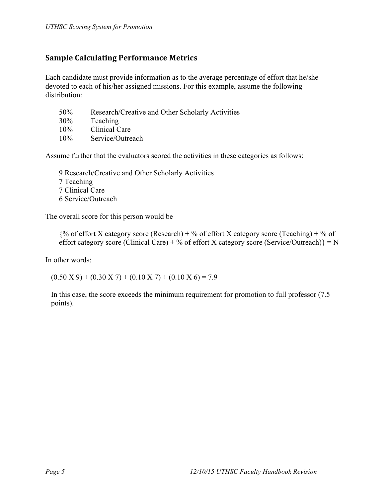## **Sample Calculating Performance Metrics**

Each candidate must provide information as to the average percentage of effort that he/she devoted to each of his/her assigned missions. For this example, assume the following distribution:

- 50% Research/Creative and Other Scholarly Activities
- 30% Teaching
- 10% Clinical Care
- 10% Service/Outreach

Assume further that the evaluators scored the activities in these categories as follows:

9 Research/Creative and Other Scholarly Activities 7 Teaching 7 Clinical Care 6 Service/Outreach

The overall score for this person would be

 $\frac{1}{6}$  of effort X category score (Research) + % of effort X category score (Teaching) + % of effort category score (Clinical Care) + % of effort X category score (Service/Outreach)} = N

In other words:

 $(0.50 \text{ X } 9) + (0.30 \text{ X } 7) + (0.10 \text{ X } 7) + (0.10 \text{ X } 6) = 7.9$ 

In this case, the score exceeds the minimum requirement for promotion to full professor (7.5 points).